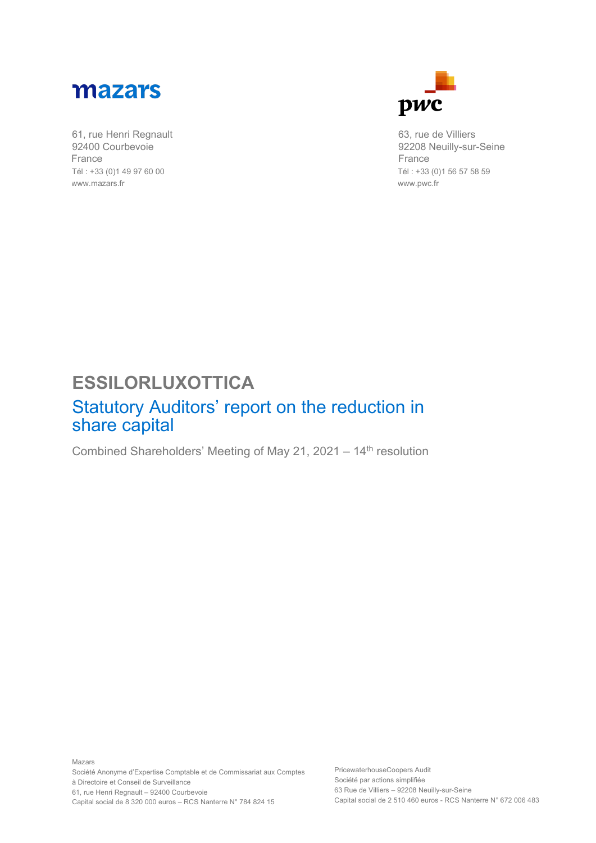

61, rue Henri Regnault 92400 Courbevoie France Tél : +33 (0)1 49 97 60 00 www.mazars.fr



63, rue de Villiers 92208 Neuilly-sur-Seine France Tél : +33 (0)1 56 57 58 59 www.pwc.fr

## **ESSILORLUXOTTICA**

## Statutory Auditors' report on the reduction in share capital

Combined Shareholders' Meeting of May 21, 2021 – 14th resolution

Mazars Société Anonyme d'Expertise Comptable et de Commissariat aux Comptes à Directoire et Conseil de Surveillance 61, rue Henri Regnault – 92400 Courbevoie Capital social de 8 320 000 euros – RCS Nanterre N° 784 824 15

PricewaterhouseCoopers Audit Société par actions simplifiée 63 Rue de Villiers – 92208 Neuilly-sur-Seine Capital social de 2 510 460 euros - RCS Nanterre N° 672 006 483